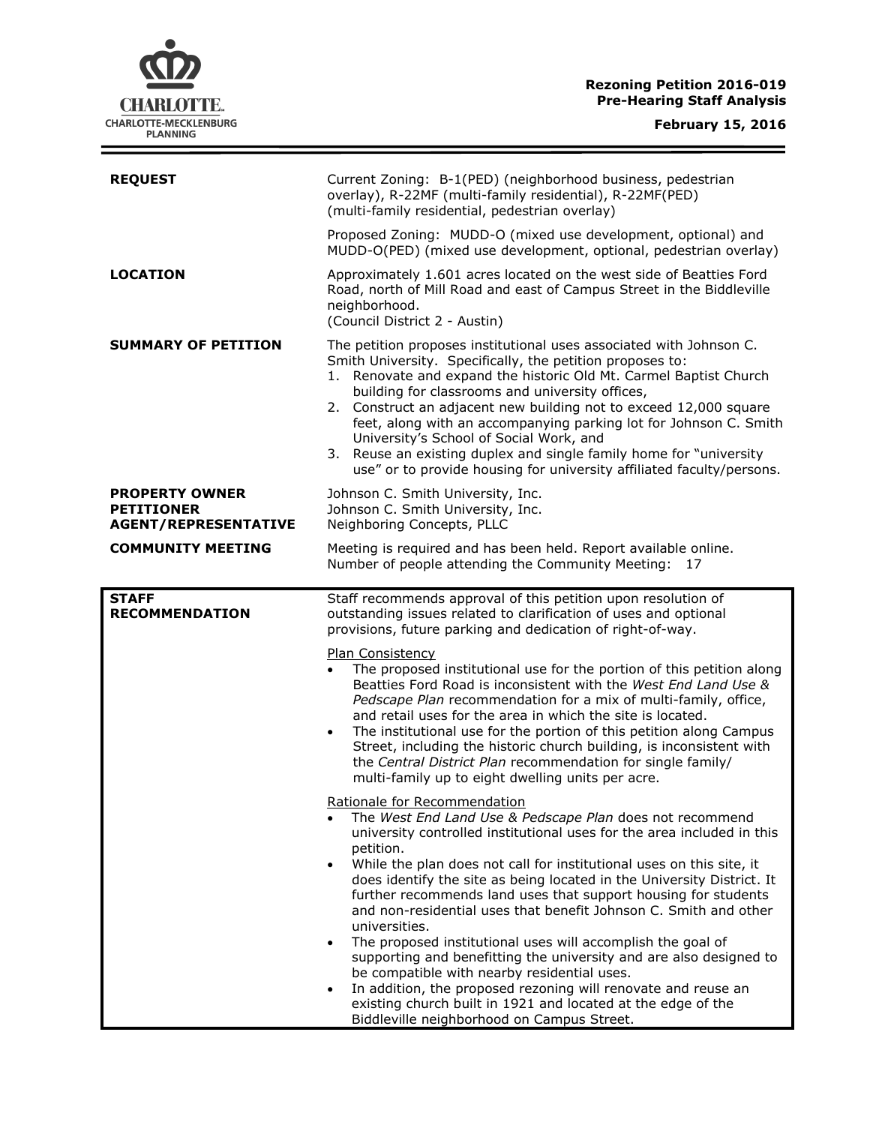### **Rezoning Petition 2016-019 Pre-Hearing Staff Analysis**

 $\equiv$ 

| <b>REQUEST</b>                                                            | Current Zoning: B-1(PED) (neighborhood business, pedestrian<br>overlay), R-22MF (multi-family residential), R-22MF(PED)<br>(multi-family residential, pedestrian overlay)                                                                                                                                                                                                                                                                                                                                                                                                                    |
|---------------------------------------------------------------------------|----------------------------------------------------------------------------------------------------------------------------------------------------------------------------------------------------------------------------------------------------------------------------------------------------------------------------------------------------------------------------------------------------------------------------------------------------------------------------------------------------------------------------------------------------------------------------------------------|
|                                                                           | Proposed Zoning: MUDD-O (mixed use development, optional) and<br>MUDD-O(PED) (mixed use development, optional, pedestrian overlay)                                                                                                                                                                                                                                                                                                                                                                                                                                                           |
| <b>LOCATION</b>                                                           | Approximately 1.601 acres located on the west side of Beatties Ford<br>Road, north of Mill Road and east of Campus Street in the Biddleville<br>neighborhood.<br>(Council District 2 - Austin)                                                                                                                                                                                                                                                                                                                                                                                               |
| <b>SUMMARY OF PETITION</b>                                                | The petition proposes institutional uses associated with Johnson C.<br>Smith University. Specifically, the petition proposes to:<br>1. Renovate and expand the historic Old Mt. Carmel Baptist Church<br>building for classrooms and university offices,<br>2. Construct an adjacent new building not to exceed 12,000 square<br>feet, along with an accompanying parking lot for Johnson C. Smith<br>University's School of Social Work, and<br>3. Reuse an existing duplex and single family home for "university<br>use" or to provide housing for university affiliated faculty/persons. |
| <b>PROPERTY OWNER</b><br><b>PETITIONER</b><br><b>AGENT/REPRESENTATIVE</b> | Johnson C. Smith University, Inc.<br>Johnson C. Smith University, Inc.<br>Neighboring Concepts, PLLC                                                                                                                                                                                                                                                                                                                                                                                                                                                                                         |
| <b>COMMUNITY MEETING</b>                                                  | Meeting is required and has been held. Report available online.<br>Number of people attending the Community Meeting:<br>17                                                                                                                                                                                                                                                                                                                                                                                                                                                                   |
| <b>STAFF</b>                                                              | Staff recommends approval of this petition upon resolution of                                                                                                                                                                                                                                                                                                                                                                                                                                                                                                                                |
| <b>RECOMMENDATION</b>                                                     | outstanding issues related to clarification of uses and optional<br>provisions, future parking and dedication of right-of-way.<br><b>Plan Consistency</b><br>The proposed institutional use for the portion of this petition along<br>Beatties Ford Road is inconsistent with the West End Land Use &<br>Pedscape Plan recommendation for a mix of multi-family, office,                                                                                                                                                                                                                     |
|                                                                           | and retail uses for the area in which the site is located.<br>The institutional use for the portion of this petition along Campus<br>Street, including the historic church building, is inconsistent with<br>the Central District Plan recommendation for single family/<br>multi-family up to eight dwelling units per acre.                                                                                                                                                                                                                                                                |
|                                                                           | <u>Rationale for Recommendation</u><br>The West End Land Use & Pedscape Plan does not recommend<br>university controlled institutional uses for the area included in this<br>petition.                                                                                                                                                                                                                                                                                                                                                                                                       |
|                                                                           | While the plan does not call for institutional uses on this site, it<br>$\bullet$<br>does identify the site as being located in the University District. It<br>further recommends land uses that support housing for students<br>and non-residential uses that benefit Johnson C. Smith and other<br>universities.<br>The proposed institutional uses will accomplish the goal of                                                                                                                                                                                                            |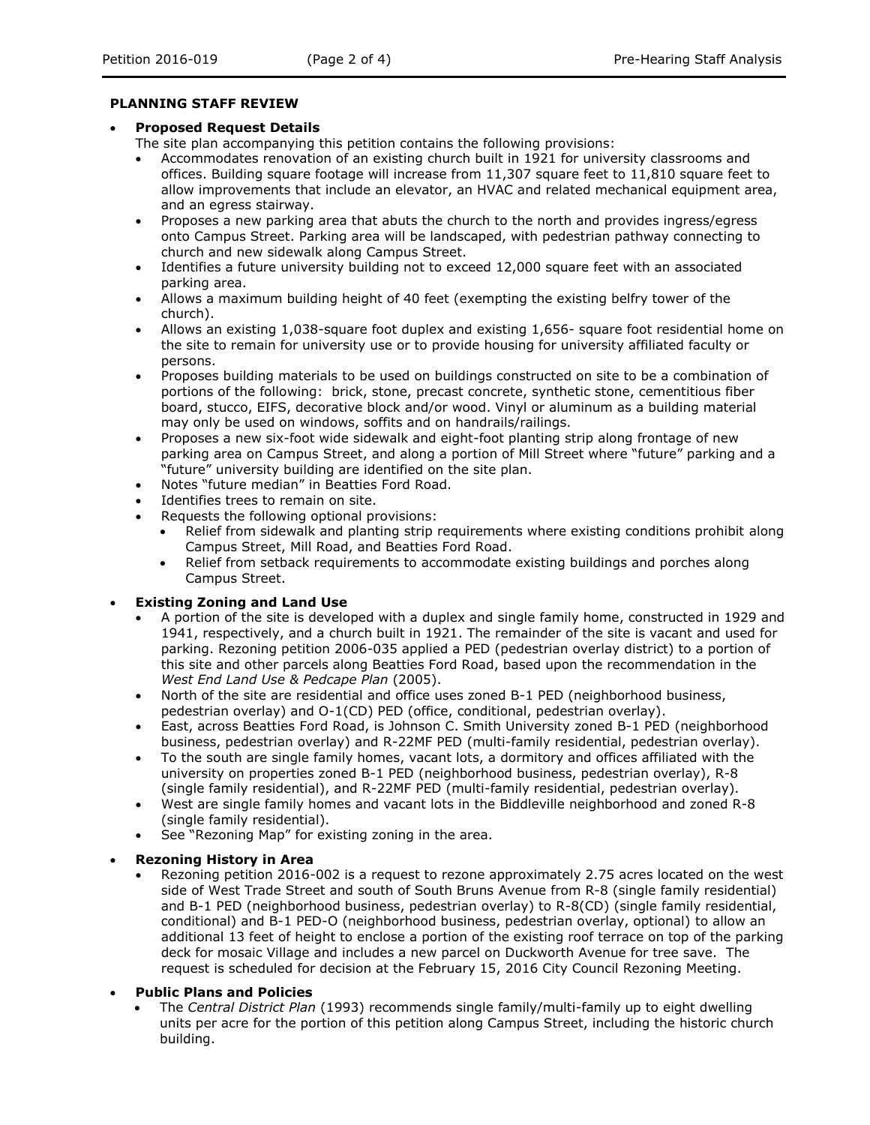#### **PLANNING STAFF REVIEW**

#### **Proposed Request Details**

The site plan accompanying this petition contains the following provisions:

- Accommodates renovation of an existing church built in 1921 for university classrooms and offices. Building square footage will increase from 11,307 square feet to 11,810 square feet to allow improvements that include an elevator, an HVAC and related mechanical equipment area, and an egress stairway.
- Proposes a new parking area that abuts the church to the north and provides ingress/egress onto Campus Street. Parking area will be landscaped, with pedestrian pathway connecting to church and new sidewalk along Campus Street.
- Identifies a future university building not to exceed 12,000 square feet with an associated parking area.
- Allows a maximum building height of 40 feet (exempting the existing belfry tower of the church).
- Allows an existing 1,038-square foot duplex and existing 1,656- square foot residential home on the site to remain for university use or to provide housing for university affiliated faculty or persons.
- Proposes building materials to be used on buildings constructed on site to be a combination of portions of the following: brick, stone, precast concrete, synthetic stone, cementitious fiber board, stucco, EIFS, decorative block and/or wood. Vinyl or aluminum as a building material may only be used on windows, soffits and on handrails/railings.
- Proposes a new six-foot wide sidewalk and eight-foot planting strip along frontage of new parking area on Campus Street, and along a portion of Mill Street where "future" parking and a "future" university building are identified on the site plan.
- Notes "future median" in Beatties Ford Road.
- Identifies trees to remain on site.
- Requests the following optional provisions:
	- Relief from sidewalk and planting strip requirements where existing conditions prohibit along Campus Street, Mill Road, and Beatties Ford Road.
	- Relief from setback requirements to accommodate existing buildings and porches along Campus Street.

## **Existing Zoning and Land Use**

- A portion of the site is developed with a duplex and single family home, constructed in 1929 and 1941, respectively, and a church built in 1921. The remainder of the site is vacant and used for parking. Rezoning petition 2006-035 applied a PED (pedestrian overlay district) to a portion of this site and other parcels along Beatties Ford Road, based upon the recommendation in the *West End Land Use & Pedcape Plan* (2005).
- North of the site are residential and office uses zoned B-1 PED (neighborhood business, pedestrian overlay) and O-1(CD) PED (office, conditional, pedestrian overlay).
- East, across Beatties Ford Road, is Johnson C. Smith University zoned B-1 PED (neighborhood business, pedestrian overlay) and R-22MF PED (multi-family residential, pedestrian overlay).
- To the south are single family homes, vacant lots, a dormitory and offices affiliated with the university on properties zoned B-1 PED (neighborhood business, pedestrian overlay), R-8 (single family residential), and R-22MF PED (multi-family residential, pedestrian overlay).
- West are single family homes and vacant lots in the Biddleville neighborhood and zoned R-8 (single family residential).
- See "Rezoning Map" for existing zoning in the area.

## **Rezoning History in Area**

- Rezoning petition 2016-002 is a request to rezone approximately 2.75 acres located on the west side of West Trade Street and south of South Bruns Avenue from R-8 (single family residential) and B-1 PED (neighborhood business, pedestrian overlay) to R-8(CD) (single family residential, conditional) and B-1 PED-O (neighborhood business, pedestrian overlay, optional) to allow an additional 13 feet of height to enclose a portion of the existing roof terrace on top of the parking deck for mosaic Village and includes a new parcel on Duckworth Avenue for tree save. The request is scheduled for decision at the February 15, 2016 City Council Rezoning Meeting.
- **Public Plans and Policies**
	- The *Central District Plan* (1993) recommends single family/multi-family up to eight dwelling units per acre for the portion of this petition along Campus Street, including the historic church building.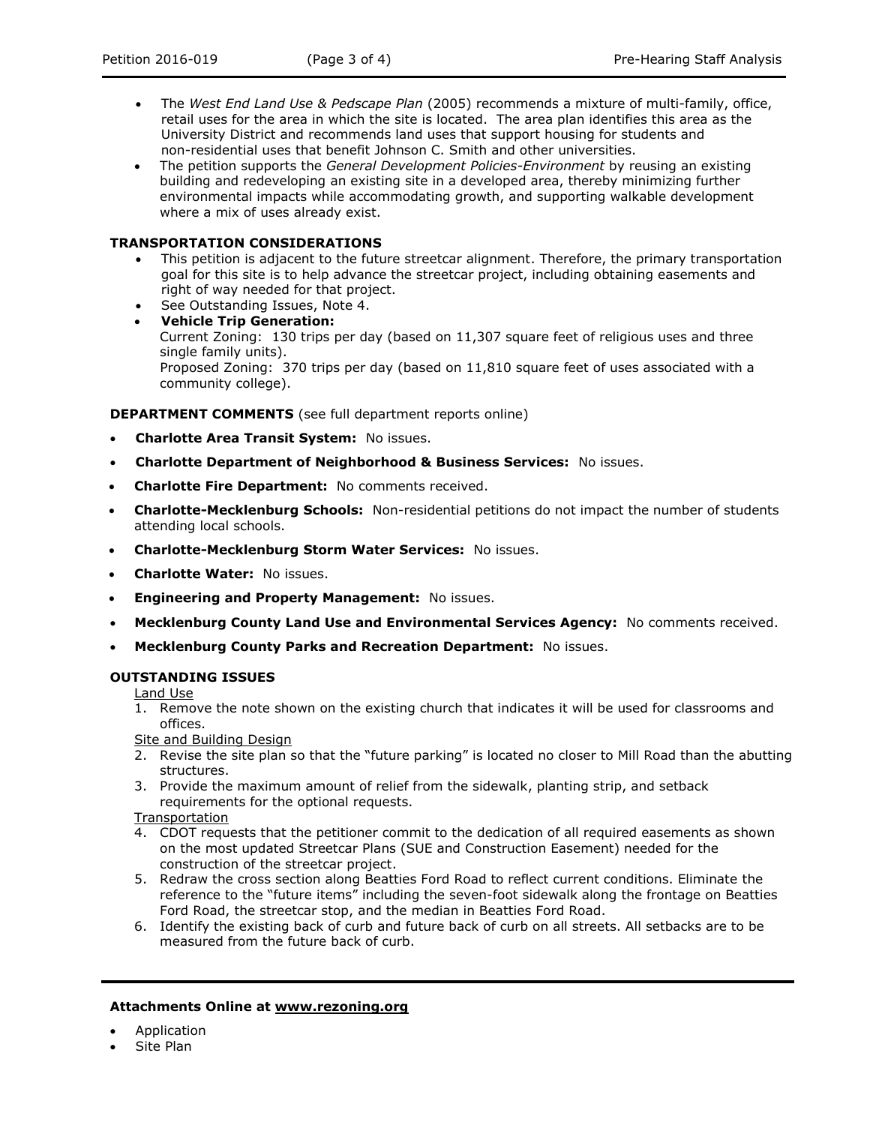- The *West End Land Use & Pedscape Plan* (2005) recommends a mixture of multi-family, office, retail uses for the area in which the site is located. The area plan identifies this area as the University District and recommends land uses that support housing for students and non-residential uses that benefit Johnson C. Smith and other universities.
- The petition supports the *General Development Policies-Environment* by reusing an existing building and redeveloping an existing site in a developed area, thereby minimizing further environmental impacts while accommodating growth, and supporting walkable development where a mix of uses already exist.

# **TRANSPORTATION CONSIDERATIONS**

- This petition is adjacent to the future streetcar alignment. Therefore, the primary transportation goal for this site is to help advance the streetcar project, including obtaining easements and right of way needed for that project.
- See Outstanding Issues, Note 4.
- **Vehicle Trip Generation:** Current Zoning: 130 trips per day (based on 11,307 square feet of religious uses and three single family units). Proposed Zoning: 370 trips per day (based on 11,810 square feet of uses associated with a community college).

# **DEPARTMENT COMMENTS** (see full department reports online)

- **Charlotte Area Transit System:** No issues.
- **Charlotte Department of Neighborhood & Business Services:** No issues.
- **Charlotte Fire Department:** No comments received.
- **Charlotte-Mecklenburg Schools:** Non-residential petitions do not impact the number of students attending local schools.
- **Charlotte-Mecklenburg Storm Water Services:** No issues.
- **Charlotte Water:** No issues.
- **Engineering and Property Management:** No issues.
- **Mecklenburg County Land Use and Environmental Services Agency:** No comments received.
- **Mecklenburg County Parks and Recreation Department:** No issues.

## **OUTSTANDING ISSUES**

Land Use

1. Remove the note shown on the existing church that indicates it will be used for classrooms and offices.

## Site and Building Design

- 2. Revise the site plan so that the "future parking" is located no closer to Mill Road than the abutting structures.
- 3. Provide the maximum amount of relief from the sidewalk, planting strip, and setback requirements for the optional requests.

**Transportation** 

- 4. CDOT requests that the petitioner commit to the dedication of all required easements as shown on the most updated Streetcar Plans (SUE and Construction Easement) needed for the construction of the streetcar project.
- 5. Redraw the cross section along Beatties Ford Road to reflect current conditions. Eliminate the reference to the "future items" including the seven-foot sidewalk along the frontage on Beatties Ford Road, the streetcar stop, and the median in Beatties Ford Road.
- 6. Identify the existing back of curb and future back of curb on all streets. All setbacks are to be measured from the future back of curb.

## **Attachments Online at www.rezoning.org**

- Application
- Site Plan